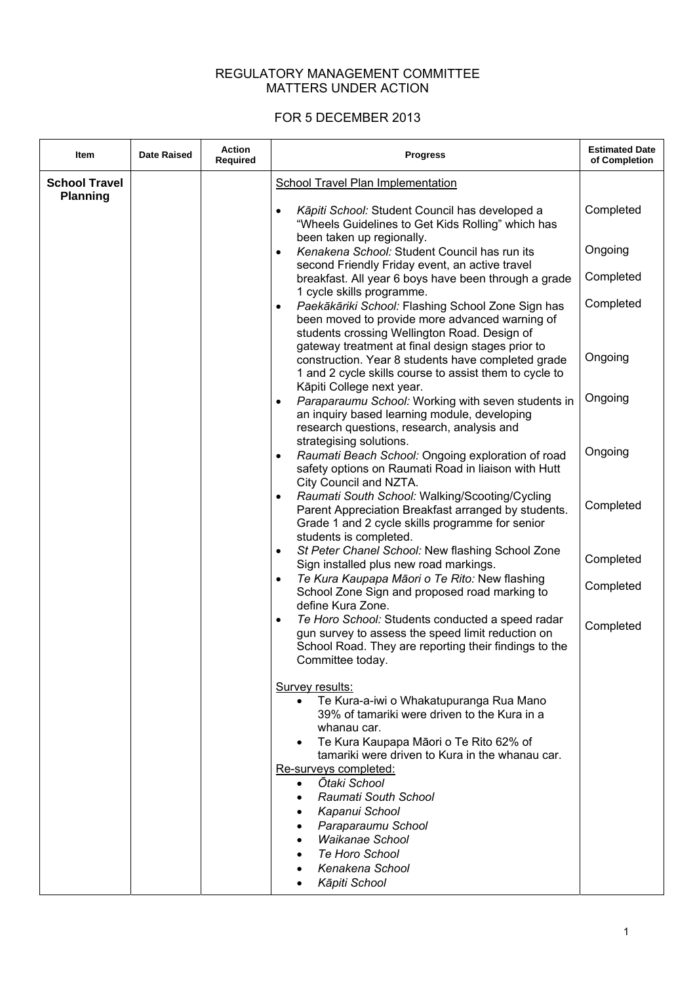## REGULATORY MANAGEMENT COMMITTEE MATTERS UNDER ACTION

## FOR 5 DECEMBER 2013

| Item                                    | <b>Date Raised</b> | <b>Action</b><br>Required | <b>Progress</b>                                                                                                                                                                                 | <b>Estimated Date</b><br>of Completion |
|-----------------------------------------|--------------------|---------------------------|-------------------------------------------------------------------------------------------------------------------------------------------------------------------------------------------------|----------------------------------------|
| <b>School Travel</b><br><b>Planning</b> |                    |                           | <b>School Travel Plan Implementation</b>                                                                                                                                                        |                                        |
|                                         |                    |                           | Kāpiti School: Student Council has developed a<br>$\bullet$<br>"Wheels Guidelines to Get Kids Rolling" which has<br>been taken up regionally.                                                   | Completed                              |
|                                         |                    |                           | Kenakena School: Student Council has run its<br>$\bullet$<br>second Friendly Friday event, an active travel                                                                                     | Ongoing                                |
|                                         |                    |                           | breakfast. All year 6 boys have been through a grade<br>1 cycle skills programme.                                                                                                               | Completed                              |
|                                         |                    |                           | Paekākāriki School: Flashing School Zone Sign has<br>$\bullet$<br>been moved to provide more advanced warning of<br>students crossing Wellington Road. Design of                                | Completed                              |
|                                         |                    |                           | gateway treatment at final design stages prior to<br>construction. Year 8 students have completed grade<br>1 and 2 cycle skills course to assist them to cycle to<br>Kāpiti College next year.  | Ongoing                                |
|                                         |                    |                           | Paraparaumu School: Working with seven students in<br>$\bullet$<br>an inquiry based learning module, developing<br>research questions, research, analysis and<br>strategising solutions.        | Ongoing                                |
|                                         |                    |                           | Raumati Beach School: Ongoing exploration of road<br>$\bullet$<br>safety options on Raumati Road in liaison with Hutt<br>City Council and NZTA.                                                 | Ongoing                                |
|                                         |                    |                           | Raumati South School: Walking/Scooting/Cycling<br>$\bullet$<br>Parent Appreciation Breakfast arranged by students.<br>Grade 1 and 2 cycle skills programme for senior<br>students is completed. | Completed                              |
|                                         |                    |                           | St Peter Chanel School: New flashing School Zone<br>$\bullet$<br>Sign installed plus new road markings.                                                                                         | Completed                              |
|                                         |                    |                           | Te Kura Kaupapa Māori o Te Rito: New flashing<br>$\bullet$<br>School Zone Sign and proposed road marking to<br>define Kura Zone.                                                                | Completed                              |
|                                         |                    |                           | Te Horo School: Students conducted a speed radar<br>$\bullet$<br>gun survey to assess the speed limit reduction on<br>School Road. They are reporting their findings to the<br>Committee today. | Completed                              |
|                                         |                    |                           | Survey results:<br>Te Kura-a-iwi o Whakatupuranga Rua Mano<br>$\bullet$<br>39% of tamariki were driven to the Kura in a<br>whanau car.<br>Te Kura Kaupapa Māori o Te Rito 62% of                |                                        |
|                                         |                    |                           | tamariki were driven to Kura in the whanau car.<br>Re-surveys completed:                                                                                                                        |                                        |
|                                         |                    |                           | Otaki School<br>$\bullet$<br>Raumati South School<br>$\bullet$<br>Kapanui School<br>Paraparaumu School                                                                                          |                                        |
|                                         |                    |                           | <b>Waikanae School</b><br>Te Horo School<br>Kenakena School                                                                                                                                     |                                        |
|                                         |                    |                           | Kāpiti School<br>$\bullet$                                                                                                                                                                      |                                        |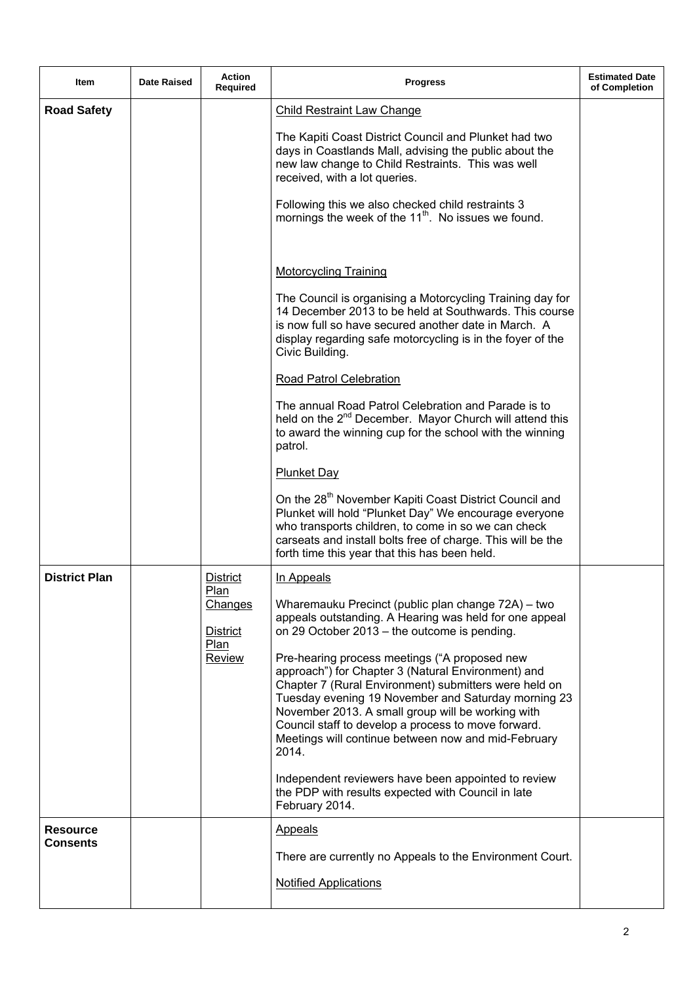| Item                               | <b>Date Raised</b> | Action<br>Required                                                             | <b>Progress</b>                                                                                                                                                                                                                                                                                                                                                                                                                                                                                                                                                                                                                                                                                              | <b>Estimated Date</b><br>of Completion |
|------------------------------------|--------------------|--------------------------------------------------------------------------------|--------------------------------------------------------------------------------------------------------------------------------------------------------------------------------------------------------------------------------------------------------------------------------------------------------------------------------------------------------------------------------------------------------------------------------------------------------------------------------------------------------------------------------------------------------------------------------------------------------------------------------------------------------------------------------------------------------------|----------------------------------------|
| <b>Road Safety</b>                 |                    |                                                                                | <b>Child Restraint Law Change</b><br>The Kapiti Coast District Council and Plunket had two<br>days in Coastlands Mall, advising the public about the<br>new law change to Child Restraints. This was well<br>received, with a lot queries.<br>Following this we also checked child restraints 3<br>mornings the week of the 11 <sup>th</sup> . No issues we found.                                                                                                                                                                                                                                                                                                                                           |                                        |
|                                    |                    |                                                                                | <b>Motorcycling Training</b><br>The Council is organising a Motorcycling Training day for<br>14 December 2013 to be held at Southwards. This course<br>is now full so have secured another date in March. A<br>display regarding safe motorcycling is in the foyer of the<br>Civic Building.<br>Road Patrol Celebration                                                                                                                                                                                                                                                                                                                                                                                      |                                        |
|                                    |                    |                                                                                | The annual Road Patrol Celebration and Parade is to<br>held on the 2 <sup>nd</sup> December. Mayor Church will attend this<br>to award the winning cup for the school with the winning<br>patrol.<br><b>Plunket Day</b><br>On the 28 <sup>th</sup> November Kapiti Coast District Council and<br>Plunket will hold "Plunket Day" We encourage everyone<br>who transports children, to come in so we can check                                                                                                                                                                                                                                                                                                |                                        |
|                                    |                    |                                                                                | carseats and install bolts free of charge. This will be the<br>forth time this year that this has been held.                                                                                                                                                                                                                                                                                                                                                                                                                                                                                                                                                                                                 |                                        |
| <b>District Plan</b>               |                    | <u>District</u><br><u>Plan</u><br>Changes<br>District<br>Plan<br><b>Review</b> | In Appeals<br>Wharemauku Precinct (public plan change 72A) - two<br>appeals outstanding. A Hearing was held for one appeal<br>on 29 October 2013 – the outcome is pending.<br>Pre-hearing process meetings ("A proposed new<br>approach") for Chapter 3 (Natural Environment) and<br>Chapter 7 (Rural Environment) submitters were held on<br>Tuesday evening 19 November and Saturday morning 23<br>November 2013. A small group will be working with<br>Council staff to develop a process to move forward.<br>Meetings will continue between now and mid-February<br>2014.<br>Independent reviewers have been appointed to review<br>the PDP with results expected with Council in late<br>February 2014. |                                        |
| <b>Resource</b><br><b>Consents</b> |                    |                                                                                | <b>Appeals</b><br>There are currently no Appeals to the Environment Court.<br><b>Notified Applications</b>                                                                                                                                                                                                                                                                                                                                                                                                                                                                                                                                                                                                   |                                        |